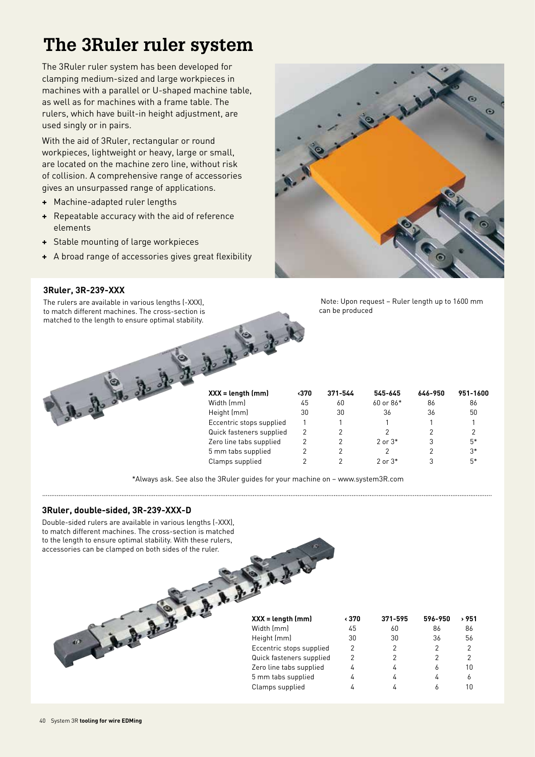The 3Ruler ruler system has been developed for clamping medium-sized and large workpieces in machines with a parallel or U-shaped machine table, as well as for machines with a frame table. The rulers, which have built-in height adjustment, are used singly or in pairs.

With the aid of 3Ruler, rectangular or round workpieces, lightweight or heavy, large or small, are located on the machine zero line, without risk of collision. A comprehensive range of accessories gives an unsurpassed range of applications.

- **+** Machine-adapted ruler lengths
- **+** Repeatable accuracy with the aid of reference elements
- **+** Stable mounting of large workpieces
- **+** A broad range of accessories gives great flexibility



**3Ruler, 3R-239-XXX**

The rulers are available in various lengths (-XXX), to match different machines. The cross-section is matched to the length to ensure optimal stability.



 Note: Upon request – Ruler length up to 1600 mm can be produced

| $XXX = length (mm)$      | ∢370 | 371-544 | 545-645       | 646-950 | 951-1600 |
|--------------------------|------|---------|---------------|---------|----------|
| Width (mm)               | 45   | 60      | $60$ or $86*$ | 86      | 86       |
| Height (mm)              | 30   | 30      | 36            | 36      | 50       |
| Eccentric stops supplied |      |         |               |         |          |
| Quick fasteners supplied | 2    |         | 2             |         |          |
| Zero line tabs supplied  |      | 2       | $2$ or $3*$   | 3       | $5*$     |
| 5 mm tabs supplied       |      |         | 2             | 2       | $3*$     |
| Clamps supplied          |      |         | $2$ or $3*$   | 3       | $5*$     |

\*Always ask. See also the 3Ruler guides for your machine on – www.system3R.com

### **3Ruler, double-sided, 3R-239-XXX-D**

Double-sided rulers are available in various lengths (-XXX), to match different machines. The cross-section is matched to the length to ensure optimal stability. With these rulers, accessories can be clamped on both sides of the ruler.

| $XXX = length (mm)$      | ∢370 | 371-595 | 596-950 | 951 ہ         |
|--------------------------|------|---------|---------|---------------|
| Width (mm)               | 45   | 60      | 86      | 86            |
| Height (mm)              | 30   | 30      | 36      | 56            |
| Eccentric stops supplied | 2    |         | 2       | $\mathcal{P}$ |
| Quick fasteners supplied | 2    |         | 2       | 2             |
| Zero line tabs supplied  | 4    |         | 6       | 10            |
| 5 mm tabs supplied       | 4    |         | 4       | 6             |
| Clamps supplied          |      |         |         |               |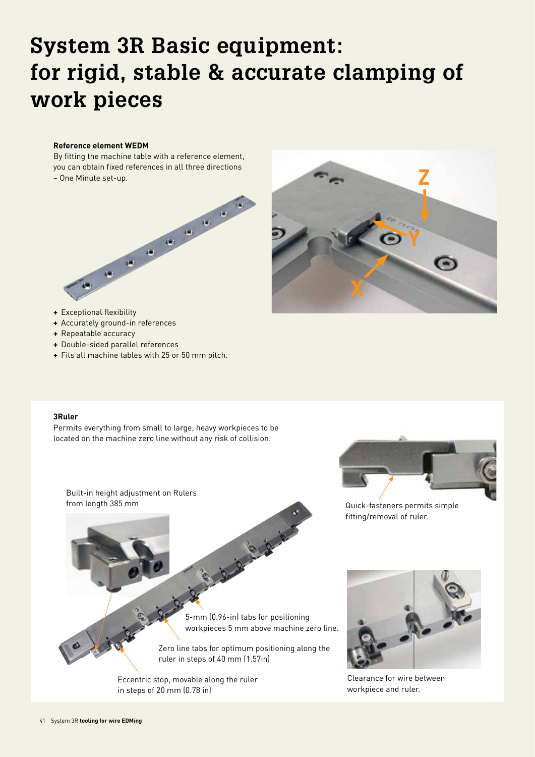# **System 3R Basic equipment: for rigid, stable & accurate clamping of work pieces**

#### **Reference element WEDM**

By fitting the machine table with a reference element, you can obtain fixed references in all three directions – One Minute set-up.





- **+** Exceptional flexibility
- **+** Accurately ground-in references
- **+** Repeatable accuracy
- **+** Double-sided parallel references
- **+** Fits all machine tables with 25 or 50 mm pitch.

#### **3Ruler**

Permits everything from small to large, heavy workpieces to be located on the machine zero line without any risk of collision.

Built-in height adjustment on Rulers from length 385 mm



Quick-fasteners permits simple fitting/removal of ruler.

5-mm (0.96-in) tabs for positioning workpieces 5 mm above machine zero line.

Zero line tabs for optimum positioning along the ruler in steps of 40 mm (1.57in)

is gight in the

Eccentric stop, movable along the ruler in steps of 20 mm (0.78 in)



Clearance for wire between workpiece and ruler.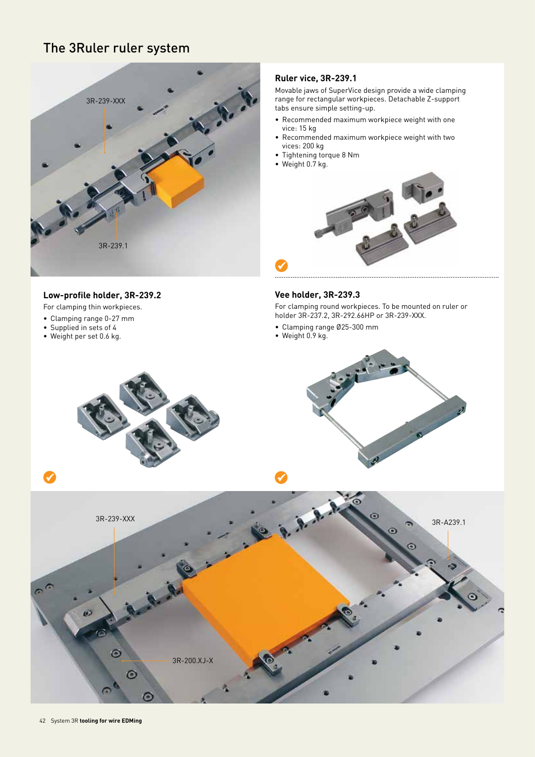

### **Low-profile holder, 3R-239.2**

For clamping thin workpieces.

- Clamping range 0-27 mm
- Supplied in sets of 4
- Weight per set 0.6 kg.

### **Ruler vice, 3R-239.1**

Movable jaws of SuperVice design provide a wide clamping range for rectangular workpieces. Detachable Z-support tabs ensure simple setting-up.

- Recommended maximum workpiece weight with one vice: 15 kg
- Recommended maximum workpiece weight with two vices: 200 kg
- Tightening torque 8 Nm
- Weight 0.7 kg.



#### **Vee holder, 3R-239.3**

For clamping round workpieces. To be mounted on ruler or holder 3R-237.2, 3R-292.66HP or 3R-239-XXX.

- Clamping range Ø25-300 mm
- Weight 0.9 kg.

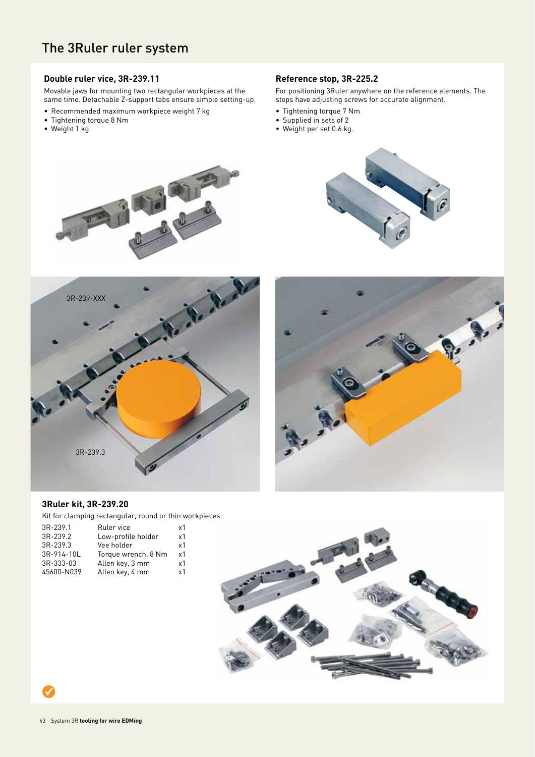### **Double ruler vice, 3R-239.11**

Movable jaws for mounting two rectangular workpieces at the same time. Detachable Z-support tabs ensure simple setting-up.

- Recommended maximum workpiece weight 7 kg
- Tightening torque 8 Nm
- Weight 1 kg.

### **Reference stop, 3R-225.2**

For positioning 3Ruler anywhere on the reference elements. The stops have adjusting screws for accurate alignment.

- Tightening torque 7 Nm
- Supplied in sets of 2
- Weight per set 0.6 kg.









### **3Ruler kit, 3R-239.20**

Kit for clamping rectangular, round or thin workpieces.

| 3R-239.1   | Ruler vice          | x1             |
|------------|---------------------|----------------|
| 3R-239.2   | Low-profile holder  | x1             |
| 3R-239.3   | Vee holder          | x <sub>1</sub> |
| 3R-914-10L | Torque wrench, 8 Nm | x1             |
| 3R-333-03  | Allen key, 3 mm     | x1             |
| 45600-N039 | Allen key, 4 mm     | x1             |
|            |                     |                |

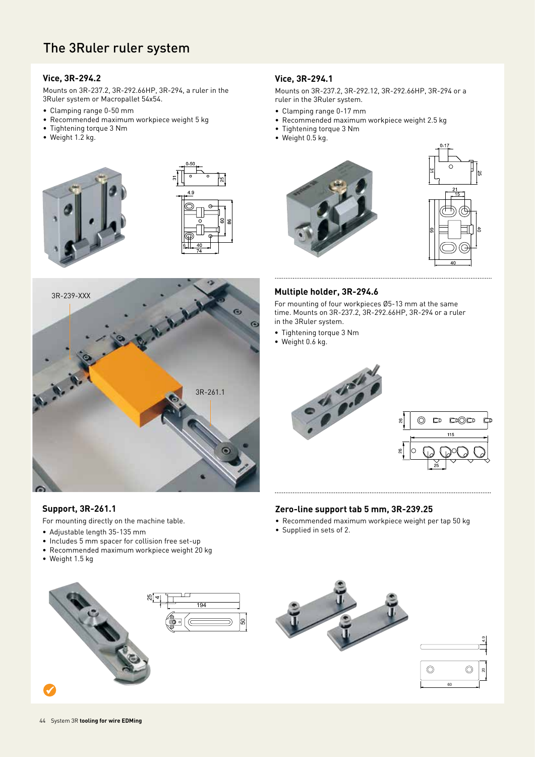### **Vice, 3R-294.2**

Mounts on 3R-237.2, 3R-292.66HP, 3R-294, a ruler in the 3Ruler system or Macropallet 54x54.

- Clamping range 0-50 mm
- Recommended maximum workpiece weight 5 kg
- Tightening torque 3 Nm
- Weight 1.2 kg.







### **Support, 3R-261.1**

For mounting directly on the machine table.

- Adjustable length 35-135 mm
- Includes 5 mm spacer for collision free set-up
- Recommended maximum workpiece weight 20 kg
- Weight 1.5 kg



### **Vice, 3R-294.1**

Mounts on 3R-237.2, 3R-292.12, 3R-292.66HP, 3R-294 or a ruler in the 3Ruler system.

- Clamping range 0-17 mm
- Recommended maximum workpiece weight 2.5 kg
- Tightening torque 3 Nm
- Weight 0.5 kg.





### **Multiple holder, 3R-294.6**

For mounting of four workpieces Ø5-13 mm at the same time. Mounts on 3R-237.2, 3R-292.66HP, 3R-294 or a ruler in the 3Ruler system.

- Tightening torque 3 Nm
- Weight 0.6 kg.



### **Zero-line support tab 5 mm, 3R-239.25**

- Recommended maximum workpiece weight per tap 50 kg
- Supplied in sets of 2.